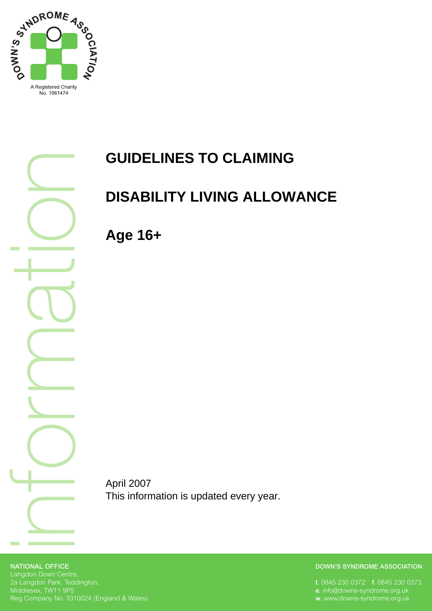

 $\overline{\underline{\subset}}$ o $\overline{\phantom{a}}$ **M**  $\overline{\mathbb{C}}$  $\overline{\phantom{a}}$ in the control of the control of the control of the control of the control of the control of o $\Box$ 

# **GUIDELINES TO CLAIMING**

# **DISABILITY LIVING ALLOWANCE**

**Age 16+** 

April 2007 This information is updated every year.

#### **NATIONAL OFFICE** Langdon Down Centre, 2a Langdon Park, Teddington, Middlesex, TW11 9PS Reg Company No. 3310024 (England & Wales)

#### **DOWN'S SYNDROME ASSOCIATION**

**t.** 0845 230 0372 **f.** 0845 230 0373 **e.** info@downs-syndrome.org.uk **w.** www.downs-syndrome.org.uk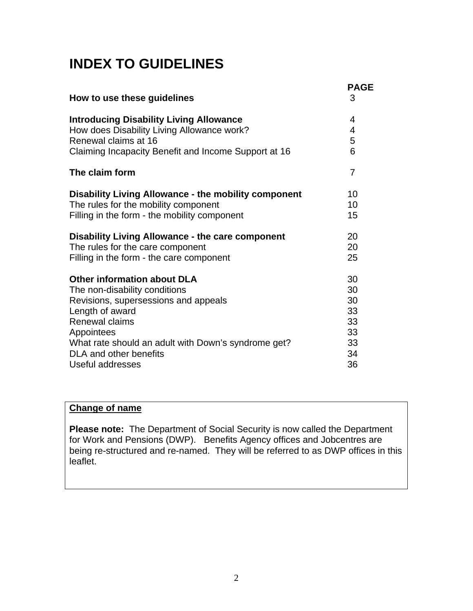# **INDEX TO GUIDELINES**

| How to use these guidelines                             | <b>PAGE</b><br>3 |
|---------------------------------------------------------|------------------|
| <b>Introducing Disability Living Allowance</b>          | 4                |
| How does Disability Living Allowance work?              | 4                |
| Renewal claims at 16                                    | 5                |
| Claiming Incapacity Benefit and Income Support at 16    | 6                |
| The claim form                                          | 7                |
| Disability Living Allowance - the mobility component    | 10               |
| The rules for the mobility component                    | 10               |
| Filling in the form - the mobility component            | 15               |
| <b>Disability Living Allowance - the care component</b> | 20               |
| The rules for the care component                        | 20               |
| Filling in the form - the care component                | 25               |
| <b>Other information about DLA</b>                      | 30               |
| The non-disability conditions                           | 30               |
| Revisions, supersessions and appeals                    | 30               |
| Length of award                                         | 33               |
| Renewal claims                                          | 33               |
| Appointees                                              | 33               |
| What rate should an adult with Down's syndrome get?     | 33               |
| DLA and other benefits                                  | 34               |
| Useful addresses                                        | 36               |

### **Change of name**

**Please note:** The Department of Social Security is now called the Department for Work and Pensions (DWP). Benefits Agency offices and Jobcentres are being re-structured and re-named. They will be referred to as DWP offices in this leaflet.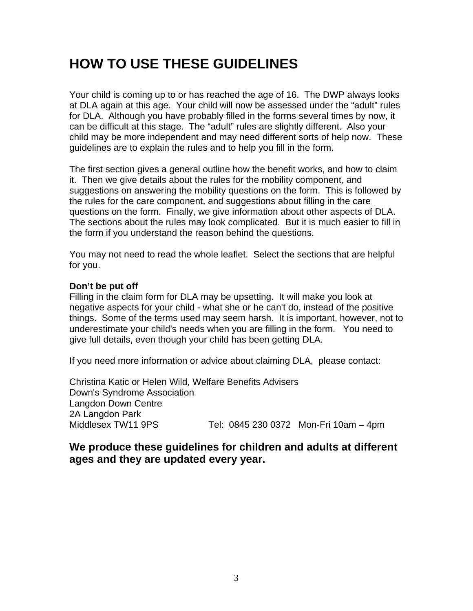## **HOW TO USE THESE GUIDELINES**

Your child is coming up to or has reached the age of 16. The DWP always looks at DLA again at this age. Your child will now be assessed under the "adult" rules for DLA. Although you have probably filled in the forms several times by now, it can be difficult at this stage. The "adult" rules are slightly different. Also your child may be more independent and may need different sorts of help now. These guidelines are to explain the rules and to help you fill in the form.

The first section gives a general outline how the benefit works, and how to claim it. Then we give details about the rules for the mobility component, and suggestions on answering the mobility questions on the form. This is followed by the rules for the care component, and suggestions about filling in the care questions on the form. Finally, we give information about other aspects of DLA. The sections about the rules may look complicated. But it is much easier to fill in the form if you understand the reason behind the questions.

You may not need to read the whole leaflet. Select the sections that are helpful for you.

#### **Don't be put off**

Filling in the claim form for DLA may be upsetting. It will make you look at negative aspects for your child - what she or he can't do, instead of the positive things. Some of the terms used may seem harsh. It is important, however, not to underestimate your child's needs when you are filling in the form. You need to give full details, even though your child has been getting DLA.

If you need more information or advice about claiming DLA, please contact:

Christina Katic or Helen Wild, Welfare Benefits Advisers Down's Syndrome Association Langdon Down Centre 2A Langdon Park Middlesex TW11 9PS Tel: 0845 230 0372 Mon-Fri 10am - 4pm

### **We produce these guidelines for children and adults at different ages and they are updated every year.**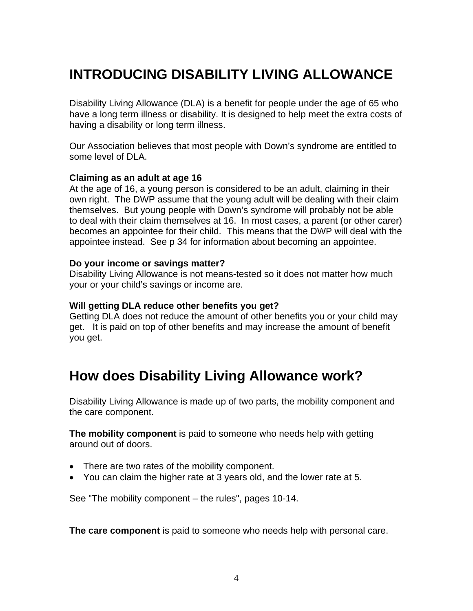# **INTRODUCING DISABILITY LIVING ALLOWANCE**

Disability Living Allowance (DLA) is a benefit for people under the age of 65 who have a long term illness or disability. It is designed to help meet the extra costs of having a disability or long term illness.

Our Association believes that most people with Down's syndrome are entitled to some level of DLA.

#### **Claiming as an adult at age 16**

At the age of 16, a young person is considered to be an adult, claiming in their own right. The DWP assume that the young adult will be dealing with their claim themselves. But young people with Down's syndrome will probably not be able to deal with their claim themselves at 16. In most cases, a parent (or other carer) becomes an appointee for their child. This means that the DWP will deal with the appointee instead. See p 34 for information about becoming an appointee.

#### **Do your income or savings matter?**

Disability Living Allowance is not means-tested so it does not matter how much your or your child's savings or income are.

#### **Will getting DLA reduce other benefits you get?**

Getting DLA does not reduce the amount of other benefits you or your child may get. It is paid on top of other benefits and may increase the amount of benefit you get.

## **How does Disability Living Allowance work?**

Disability Living Allowance is made up of two parts, the mobility component and the care component.

**The mobility component** is paid to someone who needs help with getting around out of doors.

- There are two rates of the mobility component.
- You can claim the higher rate at 3 years old, and the lower rate at 5.

See "The mobility component – the rules", pages 10-14.

**The care component** is paid to someone who needs help with personal care.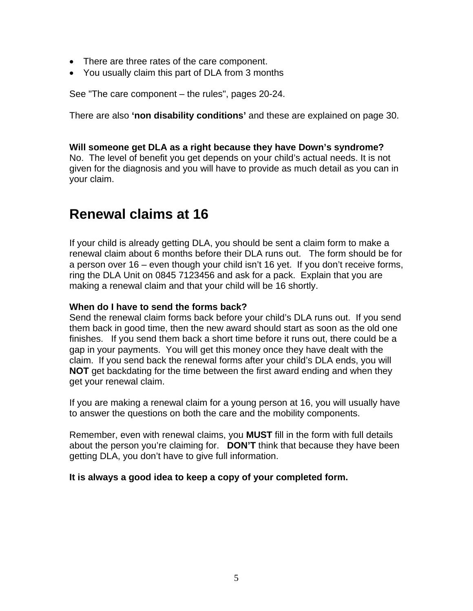- There are three rates of the care component.
- You usually claim this part of DLA from 3 months

See "The care component – the rules", pages 20-24.

There are also **'non disability conditions'** and these are explained on page 30.

#### **Will someone get DLA as a right because they have Down's syndrome?**

No. The level of benefit you get depends on your child's actual needs. It is not given for the diagnosis and you will have to provide as much detail as you can in your claim.

### **Renewal claims at 16**

If your child is already getting DLA, you should be sent a claim form to make a renewal claim about 6 months before their DLA runs out. The form should be for a person over 16 – even though your child isn't 16 yet. If you don't receive forms, ring the DLA Unit on 0845 7123456 and ask for a pack. Explain that you are making a renewal claim and that your child will be 16 shortly.

#### **When do I have to send the forms back?**

Send the renewal claim forms back before your child's DLA runs out. If you send them back in good time, then the new award should start as soon as the old one finishes. If you send them back a short time before it runs out, there could be a gap in your payments. You will get this money once they have dealt with the claim. If you send back the renewal forms after your child's DLA ends, you will **NOT** get backdating for the time between the first award ending and when they get your renewal claim.

If you are making a renewal claim for a young person at 16, you will usually have to answer the questions on both the care and the mobility components.

Remember, even with renewal claims, you **MUST** fill in the form with full details about the person you're claiming for. **DON'T** think that because they have been getting DLA, you don't have to give full information.

#### **It is always a good idea to keep a copy of your completed form.**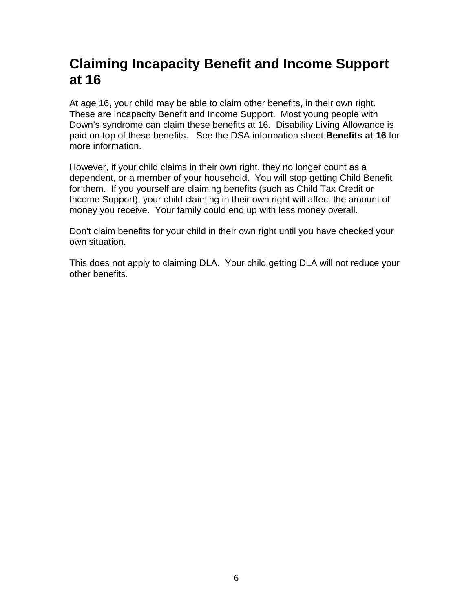## **Claiming Incapacity Benefit and Income Support at 16**

At age 16, your child may be able to claim other benefits, in their own right. These are Incapacity Benefit and Income Support. Most young people with Down's syndrome can claim these benefits at 16. Disability Living Allowance is paid on top of these benefits. See the DSA information sheet **Benefits at 16** for more information.

However, if your child claims in their own right, they no longer count as a dependent, or a member of your household. You will stop getting Child Benefit for them. If you yourself are claiming benefits (such as Child Tax Credit or Income Support), your child claiming in their own right will affect the amount of money you receive. Your family could end up with less money overall.

Don't claim benefits for your child in their own right until you have checked your own situation.

This does not apply to claiming DLA. Your child getting DLA will not reduce your other benefits.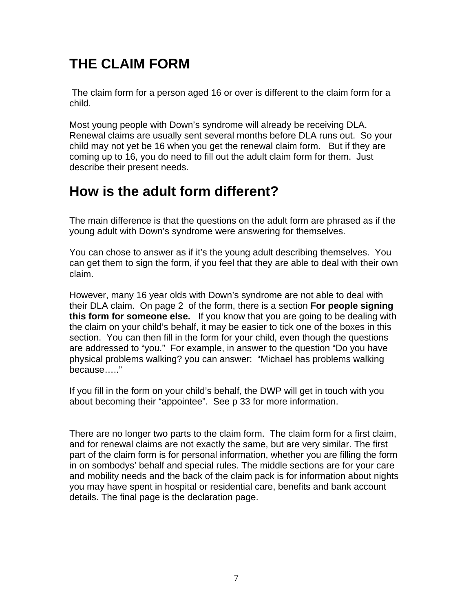# **THE CLAIM FORM**

 The claim form for a person aged 16 or over is different to the claim form for a child.

Most young people with Down's syndrome will already be receiving DLA. Renewal claims are usually sent several months before DLA runs out. So your child may not yet be 16 when you get the renewal claim form. But if they are coming up to 16, you do need to fill out the adult claim form for them. Just describe their present needs.

## **How is the adult form different?**

The main difference is that the questions on the adult form are phrased as if the young adult with Down's syndrome were answering for themselves.

You can chose to answer as if it's the young adult describing themselves. You can get them to sign the form, if you feel that they are able to deal with their own claim.

However, many 16 year olds with Down's syndrome are not able to deal with their DLA claim. On page 2 of the form, there is a section **For people signing this form for someone else.** If you know that you are going to be dealing with the claim on your child's behalf, it may be easier to tick one of the boxes in this section. You can then fill in the form for your child, even though the questions are addressed to "you." For example, in answer to the question "Do you have physical problems walking? you can answer: "Michael has problems walking because….."

If you fill in the form on your child's behalf, the DWP will get in touch with you about becoming their "appointee". See p 33 for more information.

There are no longer two parts to the claim form. The claim form for a first claim, and for renewal claims are not exactly the same, but are very similar. The first part of the claim form is for personal information, whether you are filling the form in on sombodys' behalf and special rules. The middle sections are for your care and mobility needs and the back of the claim pack is for information about nights you may have spent in hospital or residential care, benefits and bank account details. The final page is the declaration page.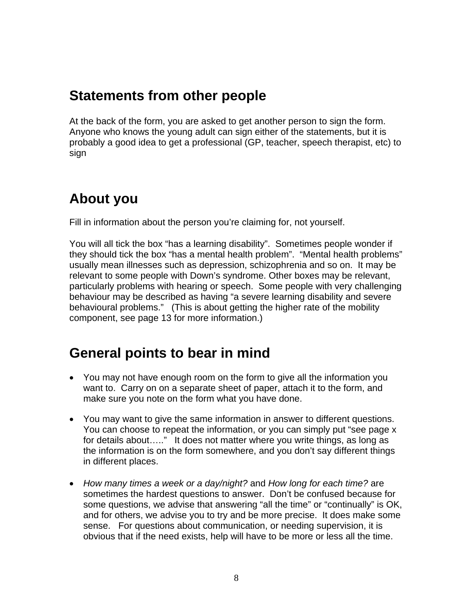## **Statements from other people**

At the back of the form, you are asked to get another person to sign the form. Anyone who knows the young adult can sign either of the statements, but it is probably a good idea to get a professional (GP, teacher, speech therapist, etc) to sign

## **About you**

Fill in information about the person you're claiming for, not yourself.

You will all tick the box "has a learning disability". Sometimes people wonder if they should tick the box "has a mental health problem". "Mental health problems" usually mean illnesses such as depression, schizophrenia and so on. It may be relevant to some people with Down's syndrome. Other boxes may be relevant, particularly problems with hearing or speech. Some people with very challenging behaviour may be described as having "a severe learning disability and severe behavioural problems." (This is about getting the higher rate of the mobility component, see page 13 for more information.)

## **General points to bear in mind**

- You may not have enough room on the form to give all the information you want to. Carry on on a separate sheet of paper, attach it to the form, and make sure you note on the form what you have done.
- You may want to give the same information in answer to different questions. You can choose to repeat the information, or you can simply put "see page x for details about….." It does not matter where you write things, as long as the information is on the form somewhere, and you don't say different things in different places.
- *How many times a week or a day/night?* and *How long for each time?* are sometimes the hardest questions to answer. Don't be confused because for some questions, we advise that answering "all the time" or "continually" is OK, and for others, we advise you to try and be more precise. It does make some sense. For questions about communication, or needing supervision, it is obvious that if the need exists, help will have to be more or less all the time.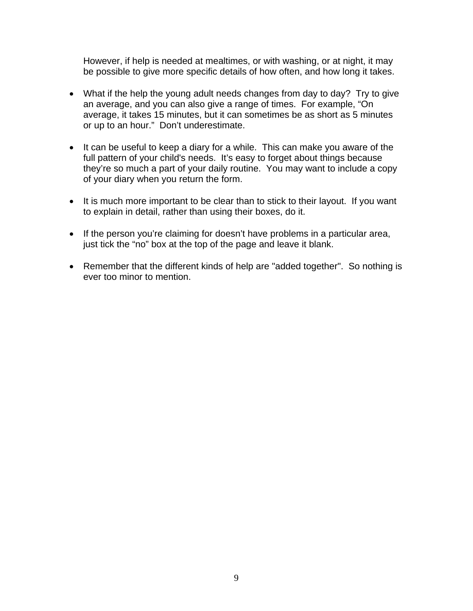However, if help is needed at mealtimes, or with washing, or at night, it may be possible to give more specific details of how often, and how long it takes.

- What if the help the young adult needs changes from day to day? Try to give an average, and you can also give a range of times. For example, "On average, it takes 15 minutes, but it can sometimes be as short as 5 minutes or up to an hour." Don't underestimate.
- It can be useful to keep a diary for a while. This can make you aware of the full pattern of your child's needs. It's easy to forget about things because they're so much a part of your daily routine. You may want to include a copy of your diary when you return the form.
- It is much more important to be clear than to stick to their layout. If you want to explain in detail, rather than using their boxes, do it.
- If the person you're claiming for doesn't have problems in a particular area, just tick the "no" box at the top of the page and leave it blank.
- Remember that the different kinds of help are "added together". So nothing is ever too minor to mention.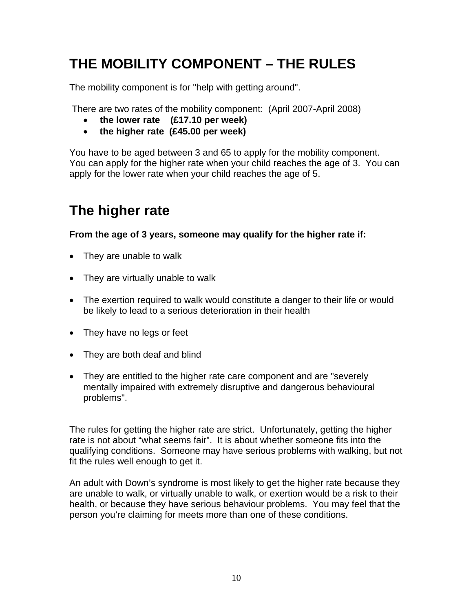# **THE MOBILITY COMPONENT – THE RULES**

The mobility component is for "help with getting around".

There are two rates of the mobility component: (April 2007-April 2008)

- • **the lower rate (£17.10 per week)**
- • **the higher rate (£45.00 per week)**

You have to be aged between 3 and 65 to apply for the mobility component. You can apply for the higher rate when your child reaches the age of 3. You can apply for the lower rate when your child reaches the age of 5.

## **The higher rate**

**From the age of 3 years, someone may qualify for the higher rate if:** 

- They are unable to walk
- They are virtually unable to walk
- The exertion required to walk would constitute a danger to their life or would be likely to lead to a serious deterioration in their health
- They have no legs or feet
- They are both deaf and blind
- They are entitled to the higher rate care component and are "severely mentally impaired with extremely disruptive and dangerous behavioural problems".

The rules for getting the higher rate are strict. Unfortunately, getting the higher rate is not about "what seems fair". It is about whether someone fits into the qualifying conditions. Someone may have serious problems with walking, but not fit the rules well enough to get it.

An adult with Down's syndrome is most likely to get the higher rate because they are unable to walk, or virtually unable to walk, or exertion would be a risk to their health, or because they have serious behaviour problems. You may feel that the person you're claiming for meets more than one of these conditions.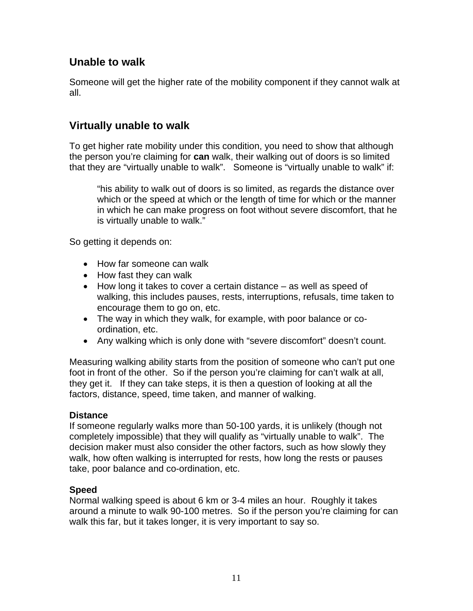### **Unable to walk**

Someone will get the higher rate of the mobility component if they cannot walk at all.

### **Virtually unable to walk**

To get higher rate mobility under this condition, you need to show that although the person you're claiming for **can** walk, their walking out of doors is so limited that they are "virtually unable to walk". Someone is "virtually unable to walk" if:

"his ability to walk out of doors is so limited, as regards the distance over which or the speed at which or the length of time for which or the manner in which he can make progress on foot without severe discomfort, that he is virtually unable to walk."

So getting it depends on:

- How far someone can walk
- How fast they can walk
- How long it takes to cover a certain distance as well as speed of walking, this includes pauses, rests, interruptions, refusals, time taken to encourage them to go on, etc.
- The way in which they walk, for example, with poor balance or coordination, etc.
- Any walking which is only done with "severe discomfort" doesn't count.

Measuring walking ability starts from the position of someone who can't put one foot in front of the other. So if the person you're claiming for can't walk at all, they get it. If they can take steps, it is then a question of looking at all the factors, distance, speed, time taken, and manner of walking.

### **Distance**

If someone regularly walks more than 50-100 yards, it is unlikely (though not completely impossible) that they will qualify as "virtually unable to walk". The decision maker must also consider the other factors, such as how slowly they walk, how often walking is interrupted for rests, how long the rests or pauses take, poor balance and co-ordination, etc.

### **Speed**

Normal walking speed is about 6 km or 3-4 miles an hour. Roughly it takes around a minute to walk 90-100 metres. So if the person you're claiming for can walk this far, but it takes longer, it is very important to say so.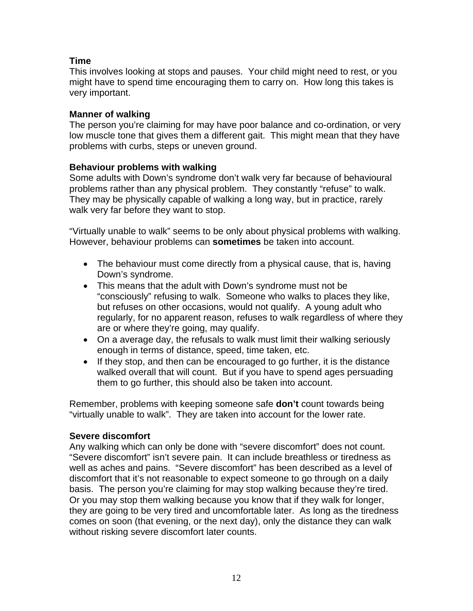### **Time**

This involves looking at stops and pauses. Your child might need to rest, or you might have to spend time encouraging them to carry on. How long this takes is very important.

#### **Manner of walking**

The person you're claiming for may have poor balance and co-ordination, or very low muscle tone that gives them a different gait. This might mean that they have problems with curbs, steps or uneven ground.

#### **Behaviour problems with walking**

Some adults with Down's syndrome don't walk very far because of behavioural problems rather than any physical problem. They constantly "refuse" to walk. They may be physically capable of walking a long way, but in practice, rarely walk very far before they want to stop.

"Virtually unable to walk" seems to be only about physical problems with walking. However, behaviour problems can **sometimes** be taken into account.

- The behaviour must come directly from a physical cause, that is, having Down's syndrome.
- This means that the adult with Down's syndrome must not be "consciously" refusing to walk. Someone who walks to places they like, but refuses on other occasions, would not qualify. A young adult who regularly, for no apparent reason, refuses to walk regardless of where they are or where they're going, may qualify.
- On a average day, the refusals to walk must limit their walking seriously enough in terms of distance, speed, time taken, etc.
- If they stop, and then can be encouraged to go further, it is the distance walked overall that will count. But if you have to spend ages persuading them to go further, this should also be taken into account.

Remember, problems with keeping someone safe **don't** count towards being "virtually unable to walk". They are taken into account for the lower rate.

#### **Severe discomfort**

Any walking which can only be done with "severe discomfort" does not count. "Severe discomfort" isn't severe pain. It can include breathless or tiredness as well as aches and pains. "Severe discomfort" has been described as a level of discomfort that it's not reasonable to expect someone to go through on a daily basis. The person you're claiming for may stop walking because they're tired. Or you may stop them walking because you know that if they walk for longer, they are going to be very tired and uncomfortable later. As long as the tiredness comes on soon (that evening, or the next day), only the distance they can walk without risking severe discomfort later counts.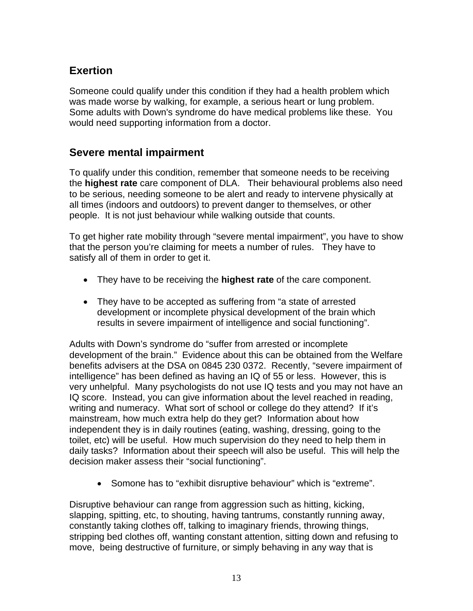### **Exertion**

Someone could qualify under this condition if they had a health problem which was made worse by walking, for example, a serious heart or lung problem. Some adults with Down's syndrome do have medical problems like these. You would need supporting information from a doctor.

### **Severe mental impairment**

To qualify under this condition, remember that someone needs to be receiving the **highest rate** care component of DLA. Their behavioural problems also need to be serious, needing someone to be alert and ready to intervene physically at all times (indoors and outdoors) to prevent danger to themselves, or other people. It is not just behaviour while walking outside that counts.

To get higher rate mobility through "severe mental impairment", you have to show that the person you're claiming for meets a number of rules. They have to satisfy all of them in order to get it.

- They have to be receiving the **highest rate** of the care component.
- They have to be accepted as suffering from "a state of arrested development or incomplete physical development of the brain which results in severe impairment of intelligence and social functioning".

Adults with Down's syndrome do "suffer from arrested or incomplete development of the brain." Evidence about this can be obtained from the Welfare benefits advisers at the DSA on 0845 230 0372. Recently, "severe impairment of intelligence" has been defined as having an IQ of 55 or less. However, this is very unhelpful. Many psychologists do not use IQ tests and you may not have an IQ score. Instead, you can give information about the level reached in reading, writing and numeracy. What sort of school or college do they attend? If it's mainstream, how much extra help do they get? Information about how independent they is in daily routines (eating, washing, dressing, going to the toilet, etc) will be useful. How much supervision do they need to help them in daily tasks? Information about their speech will also be useful. This will help the decision maker assess their "social functioning".

• Somone has to "exhibit disruptive behaviour" which is "extreme".

Disruptive behaviour can range from aggression such as hitting, kicking, slapping, spitting, etc, to shouting, having tantrums, constantly running away, constantly taking clothes off, talking to imaginary friends, throwing things, stripping bed clothes off, wanting constant attention, sitting down and refusing to move, being destructive of furniture, or simply behaving in any way that is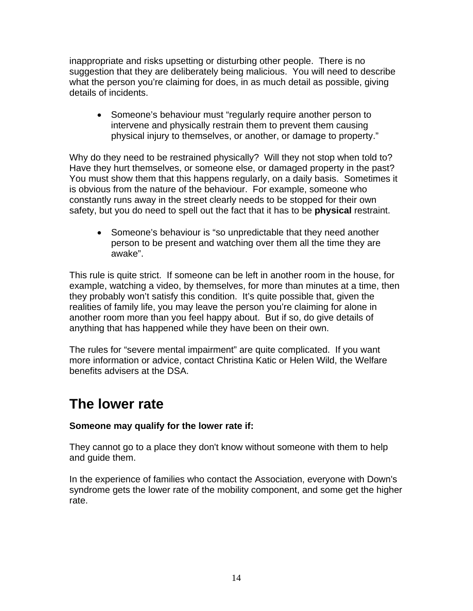inappropriate and risks upsetting or disturbing other people. There is no suggestion that they are deliberately being malicious. You will need to describe what the person you're claiming for does, in as much detail as possible, giving details of incidents.

• Someone's behaviour must "regularly require another person to intervene and physically restrain them to prevent them causing physical injury to themselves, or another, or damage to property."

Why do they need to be restrained physically? Will they not stop when told to? Have they hurt themselves, or someone else, or damaged property in the past? You must show them that this happens regularly, on a daily basis. Sometimes it is obvious from the nature of the behaviour. For example, someone who constantly runs away in the street clearly needs to be stopped for their own safety, but you do need to spell out the fact that it has to be **physical** restraint.

• Someone's behaviour is "so unpredictable that they need another person to be present and watching over them all the time they are awake".

This rule is quite strict. If someone can be left in another room in the house, for example, watching a video, by themselves, for more than minutes at a time, then they probably won't satisfy this condition. It's quite possible that, given the realities of family life, you may leave the person you're claiming for alone in another room more than you feel happy about. But if so, do give details of anything that has happened while they have been on their own.

The rules for "severe mental impairment" are quite complicated. If you want more information or advice, contact Christina Katic or Helen Wild, the Welfare benefits advisers at the DSA.

## **The lower rate**

### **Someone may qualify for the lower rate if:**

They cannot go to a place they don't know without someone with them to help and guide them.

In the experience of families who contact the Association, everyone with Down's syndrome gets the lower rate of the mobility component, and some get the higher rate.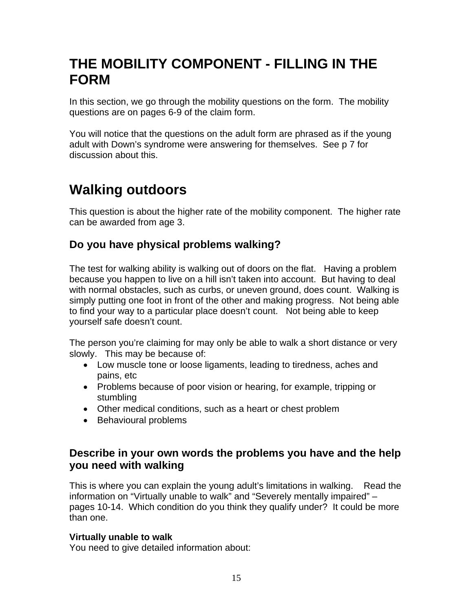## **THE MOBILITY COMPONENT - FILLING IN THE FORM**

In this section, we go through the mobility questions on the form. The mobility questions are on pages 6-9 of the claim form.

You will notice that the questions on the adult form are phrased as if the young adult with Down's syndrome were answering for themselves. See p 7 for discussion about this.

# **Walking outdoors**

This question is about the higher rate of the mobility component. The higher rate can be awarded from age 3.

### **Do you have physical problems walking?**

The test for walking ability is walking out of doors on the flat. Having a problem because you happen to live on a hill isn't taken into account. But having to deal with normal obstacles, such as curbs, or uneven ground, does count. Walking is simply putting one foot in front of the other and making progress. Not being able to find your way to a particular place doesn't count. Not being able to keep yourself safe doesn't count.

The person you're claiming for may only be able to walk a short distance or very slowly. This may be because of:

- Low muscle tone or loose ligaments, leading to tiredness, aches and pains, etc
- Problems because of poor vision or hearing, for example, tripping or stumbling
- Other medical conditions, such as a heart or chest problem
- Behavioural problems

### **Describe in your own words the problems you have and the help you need with walking**

This is where you can explain the young adult's limitations in walking. Read the information on "Virtually unable to walk" and "Severely mentally impaired" – pages 10-14. Which condition do you think they qualify under? It could be more than one.

### **Virtually unable to walk**

You need to give detailed information about: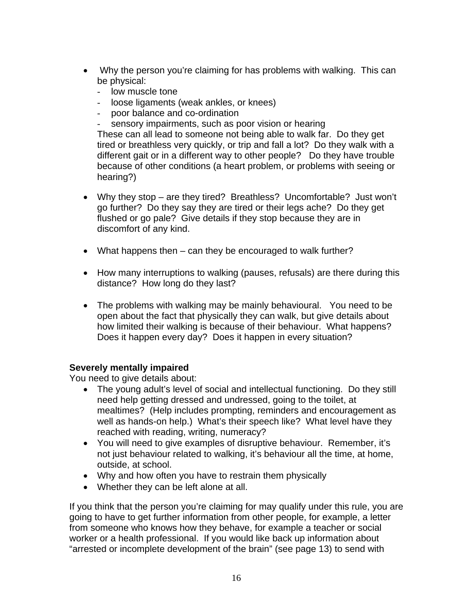- Why the person you're claiming for has problems with walking. This can be physical:
	- low muscle tone
	- loose ligaments (weak ankles, or knees)
	- poor balance and co-ordination
	- sensory impairments, such as poor vision or hearing

These can all lead to someone not being able to walk far. Do they get tired or breathless very quickly, or trip and fall a lot? Do they walk with a different gait or in a different way to other people? Do they have trouble because of other conditions (a heart problem, or problems with seeing or hearing?)

- Why they stop are they tired? Breathless? Uncomfortable? Just won't go further? Do they say they are tired or their legs ache? Do they get flushed or go pale? Give details if they stop because they are in discomfort of any kind.
- What happens then can they be encouraged to walk further?
- How many interruptions to walking (pauses, refusals) are there during this distance? How long do they last?
- The problems with walking may be mainly behavioural. You need to be open about the fact that physically they can walk, but give details about how limited their walking is because of their behaviour. What happens? Does it happen every day? Does it happen in every situation?

#### **Severely mentally impaired**

You need to give details about:

- The young adult's level of social and intellectual functioning. Do they still need help getting dressed and undressed, going to the toilet, at mealtimes? (Help includes prompting, reminders and encouragement as well as hands-on help.) What's their speech like? What level have they reached with reading, writing, numeracy?
- You will need to give examples of disruptive behaviour. Remember, it's not just behaviour related to walking, it's behaviour all the time, at home, outside, at school.
- Why and how often you have to restrain them physically
- Whether they can be left alone at all.

If you think that the person you're claiming for may qualify under this rule, you are going to have to get further information from other people, for example, a letter from someone who knows how they behave, for example a teacher or social worker or a health professional. If you would like back up information about "arrested or incomplete development of the brain" (see page 13) to send with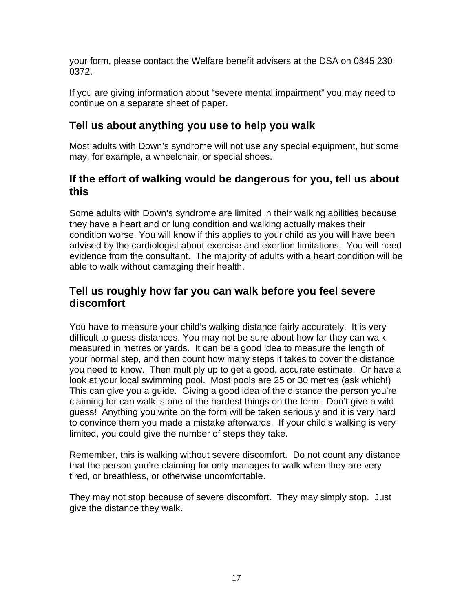your form, please contact the Welfare benefit advisers at the DSA on 0845 230 0372.

If you are giving information about "severe mental impairment" you may need to continue on a separate sheet of paper.

### **Tell us about anything you use to help you walk**

Most adults with Down's syndrome will not use any special equipment, but some may, for example, a wheelchair, or special shoes.

### **If the effort of walking would be dangerous for you, tell us about this**

Some adults with Down's syndrome are limited in their walking abilities because they have a heart and or lung condition and walking actually makes their condition worse. You will know if this applies to your child as you will have been advised by the cardiologist about exercise and exertion limitations. You will need evidence from the consultant. The majority of adults with a heart condition will be able to walk without damaging their health.

### **Tell us roughly how far you can walk before you feel severe discomfort**

You have to measure your child's walking distance fairly accurately. It is very difficult to guess distances. You may not be sure about how far they can walk measured in metres or yards. It can be a good idea to measure the length of your normal step, and then count how many steps it takes to cover the distance you need to know. Then multiply up to get a good, accurate estimate. Or have a look at your local swimming pool. Most pools are 25 or 30 metres (ask which!) This can give you a guide. Giving a good idea of the distance the person you're claiming for can walk is one of the hardest things on the form. Don't give a wild guess! Anything you write on the form will be taken seriously and it is very hard to convince them you made a mistake afterwards. If your child's walking is very limited, you could give the number of steps they take.

Remember, this is walking without severe discomfort*.* Do not count any distance that the person you're claiming for only manages to walk when they are very tired, or breathless, or otherwise uncomfortable.

They may not stop because of severe discomfort. They may simply stop. Just give the distance they walk.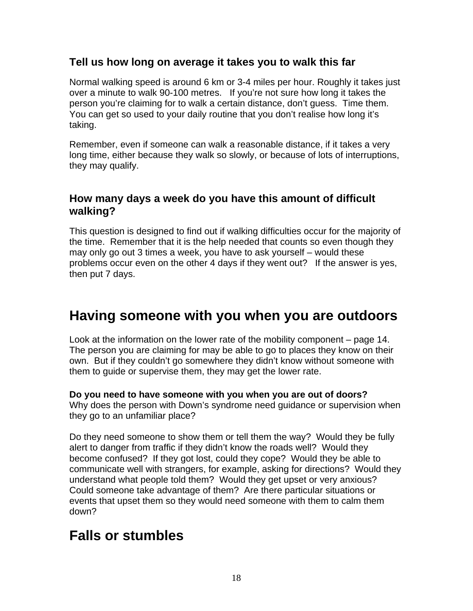### **Tell us how long on average it takes you to walk this far**

Normal walking speed is around 6 km or 3-4 miles per hour. Roughly it takes just over a minute to walk 90-100 metres. If you're not sure how long it takes the person you're claiming for to walk a certain distance, don't guess. Time them. You can get so used to your daily routine that you don't realise how long it's taking.

Remember, even if someone can walk a reasonable distance, if it takes a very long time, either because they walk so slowly, or because of lots of interruptions, they may qualify.

### **How many days a week do you have this amount of difficult walking?**

This question is designed to find out if walking difficulties occur for the majority of the time. Remember that it is the help needed that counts so even though they may only go out 3 times a week, you have to ask yourself – would these problems occur even on the other 4 days if they went out? If the answer is yes, then put 7 days.

### **Having someone with you when you are outdoors**

Look at the information on the lower rate of the mobility component – page 14. The person you are claiming for may be able to go to places they know on their own. But if they couldn't go somewhere they didn't know without someone with them to guide or supervise them, they may get the lower rate.

### **Do you need to have someone with you when you are out of doors?**

Why does the person with Down's syndrome need guidance or supervision when they go to an unfamiliar place?

Do they need someone to show them or tell them the way? Would they be fully alert to danger from traffic if they didn't know the roads well? Would they become confused? If they got lost, could they cope? Would they be able to communicate well with strangers, for example, asking for directions? Would they understand what people told them? Would they get upset or very anxious? Could someone take advantage of them? Are there particular situations or events that upset them so they would need someone with them to calm them down?

## **Falls or stumbles**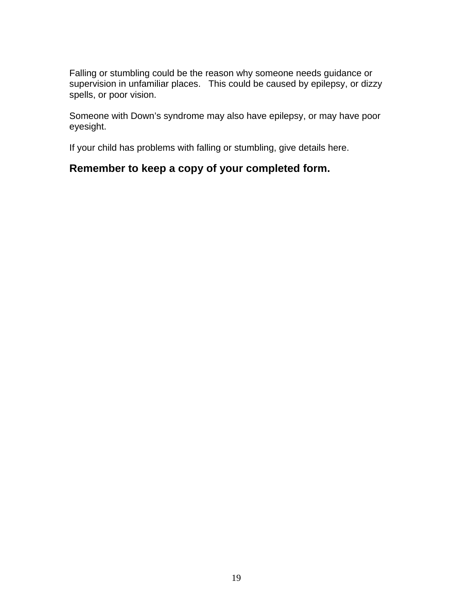Falling or stumbling could be the reason why someone needs guidance or supervision in unfamiliar places. This could be caused by epilepsy, or dizzy spells, or poor vision.

Someone with Down's syndrome may also have epilepsy, or may have poor eyesight.

If your child has problems with falling or stumbling, give details here.

### **Remember to keep a copy of your completed form.**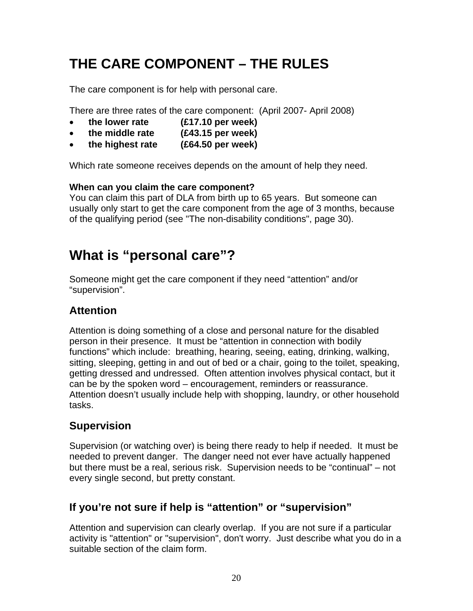# **THE CARE COMPONENT – THE RULES**

The care component is for help with personal care.

There are three rates of the care component: (April 2007- April 2008)

- **the lower rate (£17.10 per week)**
- • **the middle rate (£43.15 per week)**
- • **the highest rate (£64.50 per week)**

Which rate someone receives depends on the amount of help they need.

#### **When can you claim the care component?**

You can claim this part of DLA from birth up to 65 years. But someone can usually only start to get the care component from the age of 3 months, because of the qualifying period (see "The non-disability conditions", page 30).

## **What is "personal care"?**

Someone might get the care component if they need "attention" and/or "supervision".

### **Attention**

Attention is doing something of a close and personal nature for the disabled person in their presence. It must be "attention in connection with bodily functions" which include: breathing, hearing, seeing, eating, drinking, walking, sitting, sleeping, getting in and out of bed or a chair, going to the toilet, speaking, getting dressed and undressed. Often attention involves physical contact, but it can be by the spoken word – encouragement, reminders or reassurance. Attention doesn't usually include help with shopping, laundry, or other household tasks.

### **Supervision**

Supervision (or watching over) is being there ready to help if needed. It must be needed to prevent danger. The danger need not ever have actually happened but there must be a real, serious risk. Supervision needs to be "continual" – not every single second, but pretty constant.

### **If you're not sure if help is "attention" or "supervision"**

Attention and supervision can clearly overlap. If you are not sure if a particular activity is "attention" or "supervision", don't worry. Just describe what you do in a suitable section of the claim form.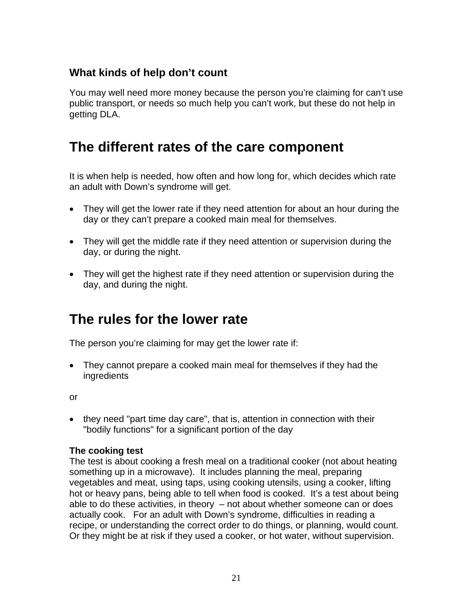### **What kinds of help don't count**

You may well need more money because the person you're claiming for can't use public transport, or needs so much help you can't work, but these do not help in getting DLA.

## **The different rates of the care component**

It is when help is needed, how often and how long for, which decides which rate an adult with Down's syndrome will get.

- They will get the lower rate if they need attention for about an hour during the day or they can't prepare a cooked main meal for themselves.
- They will get the middle rate if they need attention or supervision during the day, or during the night.
- They will get the highest rate if they need attention or supervision during the day, and during the night.

## **The rules for the lower rate**

The person you're claiming for may get the lower rate if:

• They cannot prepare a cooked main meal for themselves if they had the ingredients

or

• they need "part time day care", that is, attention in connection with their "bodily functions" for a significant portion of the day

### **The cooking test**

The test is about cooking a fresh meal on a traditional cooker (not about heating something up in a microwave). It includes planning the meal, preparing vegetables and meat, using taps, using cooking utensils, using a cooker, lifting hot or heavy pans, being able to tell when food is cooked. It's a test about being able to do these activities, in theory – not about whether someone can or does actually cook. For an adult with Down's syndrome, difficulties in reading a recipe, or understanding the correct order to do things, or planning, would count. Or they might be at risk if they used a cooker, or hot water, without supervision.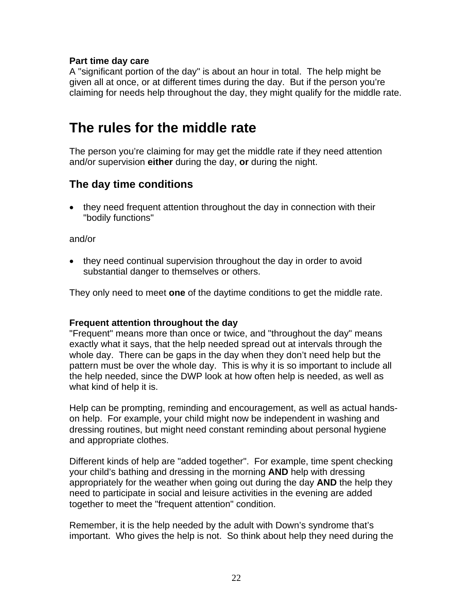#### **Part time day care**

A "significant portion of the day" is about an hour in total. The help might be given all at once, or at different times during the day. But if the person you're claiming for needs help throughout the day, they might qualify for the middle rate.

## **The rules for the middle rate**

The person you're claiming for may get the middle rate if they need attention and/or supervision **either** during the day, **or** during the night.

### **The day time conditions**

• they need frequent attention throughout the day in connection with their "bodily functions"

and/or

• they need continual supervision throughout the day in order to avoid substantial danger to themselves or others.

They only need to meet **one** of the daytime conditions to get the middle rate.

#### **Frequent attention throughout the day**

"Frequent" means more than once or twice, and "throughout the day" means exactly what it says, that the help needed spread out at intervals through the whole day. There can be gaps in the day when they don't need help but the pattern must be over the whole day. This is why it is so important to include all the help needed, since the DWP look at how often help is needed, as well as what kind of help it is.

Help can be prompting, reminding and encouragement, as well as actual handson help. For example, your child might now be independent in washing and dressing routines, but might need constant reminding about personal hygiene and appropriate clothes.

Different kinds of help are "added together". For example, time spent checking your child's bathing and dressing in the morning **AND** help with dressing appropriately for the weather when going out during the day **AND** the help they need to participate in social and leisure activities in the evening are added together to meet the "frequent attention" condition.

Remember, it is the help needed by the adult with Down's syndrome that's important. Who gives the help is not. So think about help they need during the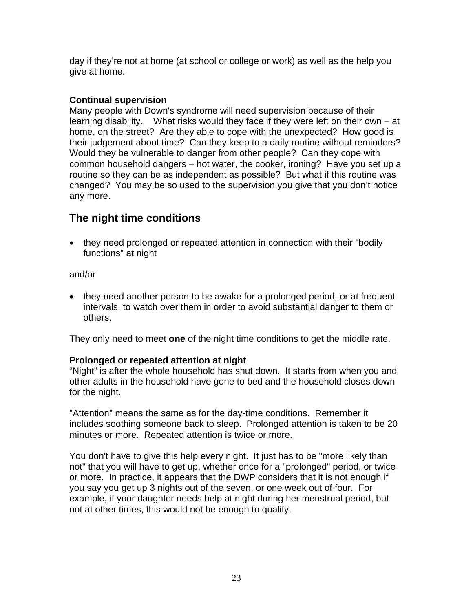day if they're not at home (at school or college or work) as well as the help you give at home.

#### **Continual supervision**

Many people with Down's syndrome will need supervision because of their learning disability. What risks would they face if they were left on their own – at home, on the street? Are they able to cope with the unexpected? How good is their judgement about time? Can they keep to a daily routine without reminders? Would they be vulnerable to danger from other people? Can they cope with common household dangers – hot water, the cooker, ironing? Have you set up a routine so they can be as independent as possible? But what if this routine was changed? You may be so used to the supervision you give that you don't notice any more.

### **The night time conditions**

• they need prolonged or repeated attention in connection with their "bodily" functions" at night

and/or

• they need another person to be awake for a prolonged period, or at frequent intervals, to watch over them in order to avoid substantial danger to them or others.

They only need to meet **one** of the night time conditions to get the middle rate.

#### **Prolonged or repeated attention at night**

"Night" is after the whole household has shut down. It starts from when you and other adults in the household have gone to bed and the household closes down for the night.

"Attention" means the same as for the day-time conditions. Remember it includes soothing someone back to sleep. Prolonged attention is taken to be 20 minutes or more. Repeated attention is twice or more.

You don't have to give this help every night. It just has to be "more likely than not" that you will have to get up, whether once for a "prolonged" period, or twice or more. In practice, it appears that the DWP considers that it is not enough if you say you get up 3 nights out of the seven, or one week out of four. For example, if your daughter needs help at night during her menstrual period, but not at other times, this would not be enough to qualify.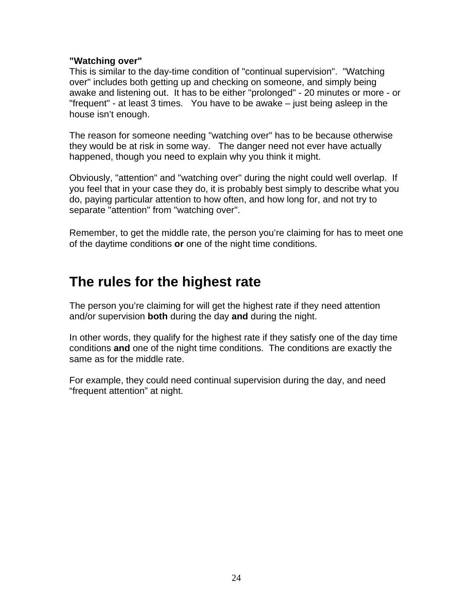#### **"Watching over"**

This is similar to the day-time condition of "continual supervision". "Watching over" includes both getting up and checking on someone, and simply being awake and listening out. It has to be either "prolonged" - 20 minutes or more - or "frequent" - at least 3 times. You have to be awake – just being asleep in the house isn't enough.

The reason for someone needing "watching over" has to be because otherwise they would be at risk in some way. The danger need not ever have actually happened, though you need to explain why you think it might.

Obviously, "attention" and "watching over" during the night could well overlap. If you feel that in your case they do, it is probably best simply to describe what you do, paying particular attention to how often, and how long for, and not try to separate "attention" from "watching over".

Remember, to get the middle rate, the person you're claiming for has to meet one of the daytime conditions **or** one of the night time conditions.

## **The rules for the highest rate**

The person you're claiming for will get the highest rate if they need attention and/or supervision **both** during the day **and** during the night.

In other words, they qualify for the highest rate if they satisfy one of the day time conditions **and** one of the night time conditions. The conditions are exactly the same as for the middle rate.

For example, they could need continual supervision during the day, and need "frequent attention" at night.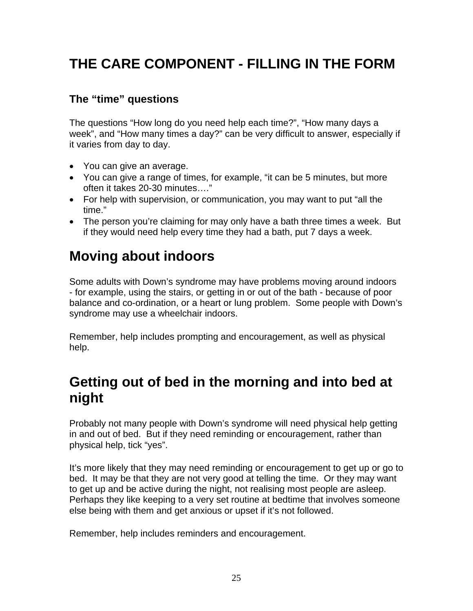# **THE CARE COMPONENT - FILLING IN THE FORM**

### **The "time" questions**

The questions "How long do you need help each time?", "How many days a week", and "How many times a day?" can be very difficult to answer, especially if it varies from day to day.

- You can give an average.
- You can give a range of times, for example, "it can be 5 minutes, but more often it takes 20-30 minutes…."
- For help with supervision, or communication, you may want to put "all the time."
- The person you're claiming for may only have a bath three times a week. But if they would need help every time they had a bath, put 7 days a week.

# **Moving about indoors**

Some adults with Down's syndrome may have problems moving around indoors - for example, using the stairs, or getting in or out of the bath - because of poor balance and co-ordination, or a heart or lung problem. Some people with Down's syndrome may use a wheelchair indoors.

Remember, help includes prompting and encouragement, as well as physical help.

## **Getting out of bed in the morning and into bed at night**

Probably not many people with Down's syndrome will need physical help getting in and out of bed. But if they need reminding or encouragement, rather than physical help, tick "yes".

It's more likely that they may need reminding or encouragement to get up or go to bed. It may be that they are not very good at telling the time. Or they may want to get up and be active during the night, not realising most people are asleep. Perhaps they like keeping to a very set routine at bedtime that involves someone else being with them and get anxious or upset if it's not followed.

Remember, help includes reminders and encouragement.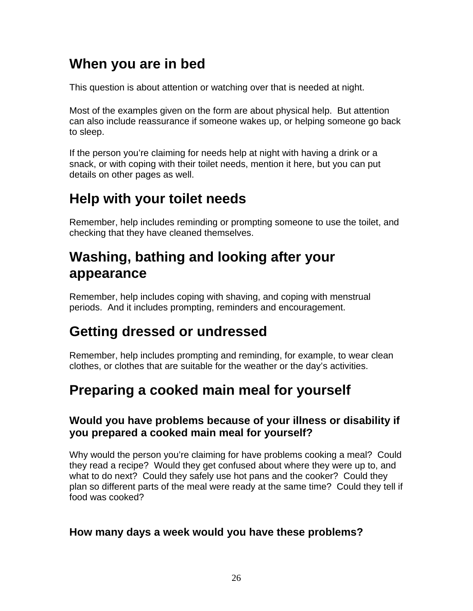## **When you are in bed**

This question is about attention or watching over that is needed at night.

Most of the examples given on the form are about physical help. But attention can also include reassurance if someone wakes up, or helping someone go back to sleep.

If the person you're claiming for needs help at night with having a drink or a snack, or with coping with their toilet needs, mention it here, but you can put details on other pages as well.

# **Help with your toilet needs**

Remember, help includes reminding or prompting someone to use the toilet, and checking that they have cleaned themselves.

## **Washing, bathing and looking after your appearance**

Remember, help includes coping with shaving, and coping with menstrual periods. And it includes prompting, reminders and encouragement.

## **Getting dressed or undressed**

Remember, help includes prompting and reminding, for example, to wear clean clothes, or clothes that are suitable for the weather or the day's activities.

## **Preparing a cooked main meal for yourself**

### **Would you have problems because of your illness or disability if you prepared a cooked main meal for yourself?**

Why would the person you're claiming for have problems cooking a meal? Could they read a recipe? Would they get confused about where they were up to, and what to do next? Could they safely use hot pans and the cooker? Could they plan so different parts of the meal were ready at the same time? Could they tell if food was cooked?

### **How many days a week would you have these problems?**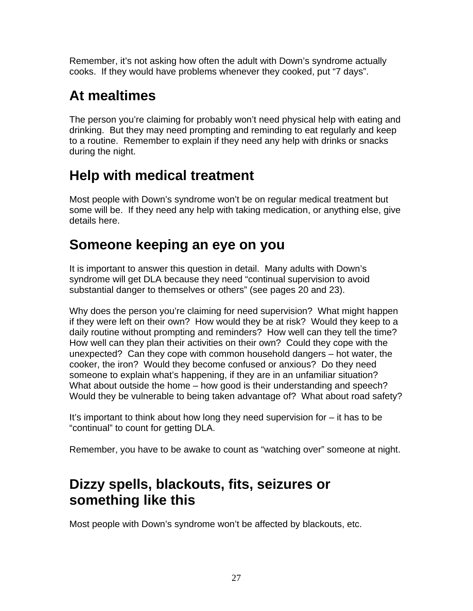Remember, it's not asking how often the adult with Down's syndrome actually cooks. If they would have problems whenever they cooked, put "7 days".

# **At mealtimes**

The person you're claiming for probably won't need physical help with eating and drinking. But they may need prompting and reminding to eat regularly and keep to a routine. Remember to explain if they need any help with drinks or snacks during the night.

# **Help with medical treatment**

Most people with Down's syndrome won't be on regular medical treatment but some will be. If they need any help with taking medication, or anything else, give details here.

## **Someone keeping an eye on you**

It is important to answer this question in detail. Many adults with Down's syndrome will get DLA because they need "continual supervision to avoid substantial danger to themselves or others" (see pages 20 and 23).

Why does the person you're claiming for need supervision? What might happen if they were left on their own? How would they be at risk? Would they keep to a daily routine without prompting and reminders? How well can they tell the time? How well can they plan their activities on their own? Could they cope with the unexpected? Can they cope with common household dangers – hot water, the cooker, the iron? Would they become confused or anxious? Do they need someone to explain what's happening, if they are in an unfamiliar situation? What about outside the home – how good is their understanding and speech? Would they be vulnerable to being taken advantage of? What about road safety?

It's important to think about how long they need supervision for – it has to be "continual" to count for getting DLA.

Remember, you have to be awake to count as "watching over" someone at night.

# **Dizzy spells, blackouts, fits, seizures or something like this**

Most people with Down's syndrome won't be affected by blackouts, etc.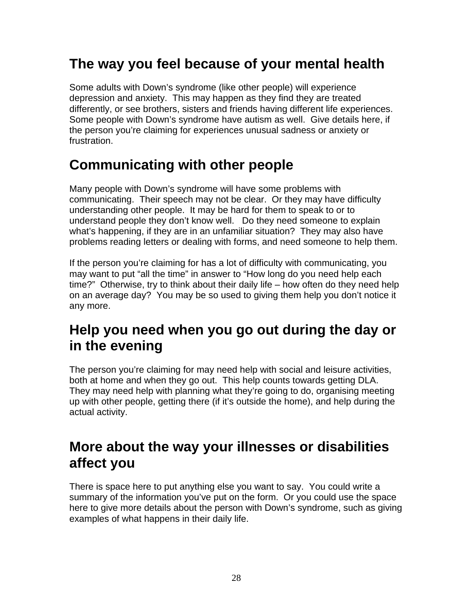## **The way you feel because of your mental health**

Some adults with Down's syndrome (like other people) will experience depression and anxiety. This may happen as they find they are treated differently, or see brothers, sisters and friends having different life experiences. Some people with Down's syndrome have autism as well. Give details here, if the person you're claiming for experiences unusual sadness or anxiety or frustration.

## **Communicating with other people**

Many people with Down's syndrome will have some problems with communicating. Their speech may not be clear. Or they may have difficulty understanding other people. It may be hard for them to speak to or to understand people they don't know well. Do they need someone to explain what's happening, if they are in an unfamiliar situation? They may also have problems reading letters or dealing with forms, and need someone to help them.

If the person you're claiming for has a lot of difficulty with communicating, you may want to put "all the time" in answer to "How long do you need help each time?" Otherwise, try to think about their daily life – how often do they need help on an average day? You may be so used to giving them help you don't notice it any more.

## **Help you need when you go out during the day or in the evening**

The person you're claiming for may need help with social and leisure activities, both at home and when they go out. This help counts towards getting DLA. They may need help with planning what they're going to do, organising meeting up with other people, getting there (if it's outside the home), and help during the actual activity.

## **More about the way your illnesses or disabilities affect you**

There is space here to put anything else you want to say. You could write a summary of the information you've put on the form. Or you could use the space here to give more details about the person with Down's syndrome, such as giving examples of what happens in their daily life.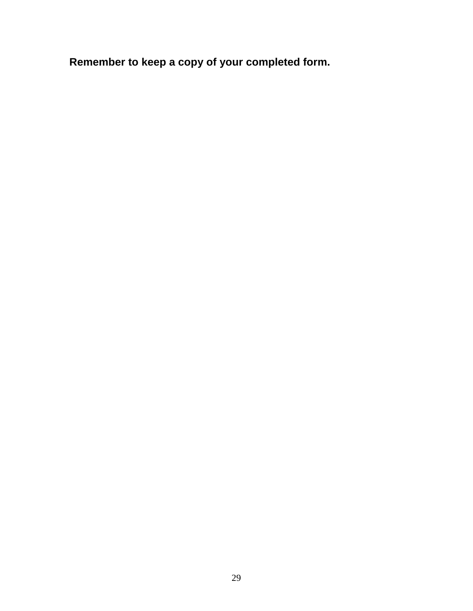**Remember to keep a copy of your completed form.**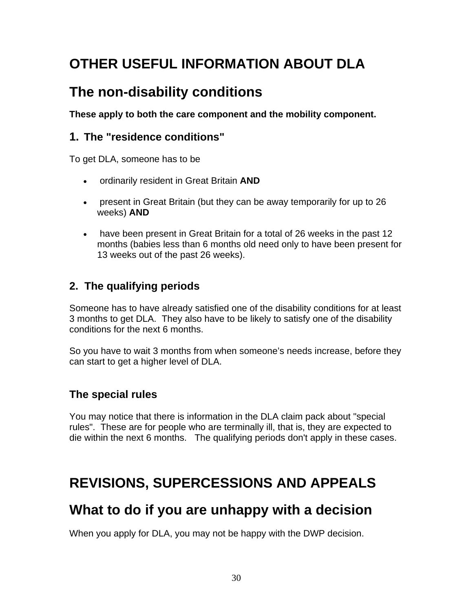# **OTHER USEFUL INFORMATION ABOUT DLA**

## **The non-disability conditions**

**These apply to both the care component and the mobility component.** 

### **1. The "residence conditions"**

To get DLA, someone has to be

- ordinarily resident in Great Britain **AND**
- present in Great Britain (but they can be away temporarily for up to 26 weeks) **AND**
- have been present in Great Britain for a total of 26 weeks in the past 12 months (babies less than 6 months old need only to have been present for 13 weeks out of the past 26 weeks).

### **2. The qualifying periods**

Someone has to have already satisfied one of the disability conditions for at least 3 months to get DLA. They also have to be likely to satisfy one of the disability conditions for the next 6 months.

So you have to wait 3 months from when someone's needs increase, before they can start to get a higher level of DLA.

### **The special rules**

You may notice that there is information in the DLA claim pack about "special rules". These are for people who are terminally ill, that is, they are expected to die within the next 6 months. The qualifying periods don't apply in these cases.

## **REVISIONS, SUPERCESSIONS AND APPEALS**

## **What to do if you are unhappy with a decision**

When you apply for DLA, you may not be happy with the DWP decision.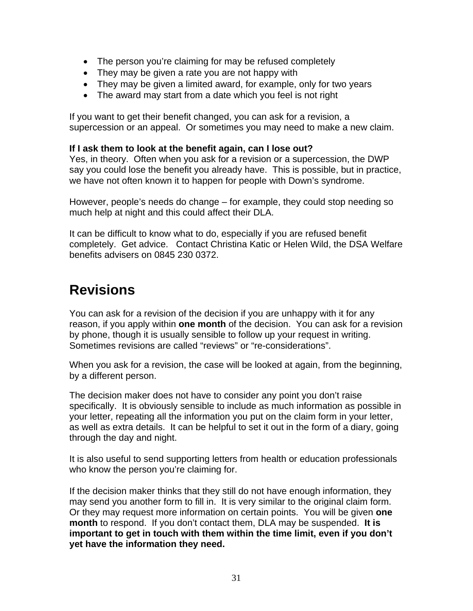- The person you're claiming for may be refused completely
- They may be given a rate you are not happy with
- They may be given a limited award, for example, only for two years
- The award may start from a date which you feel is not right

If you want to get their benefit changed, you can ask for a revision, a supercession or an appeal. Or sometimes you may need to make a new claim.

#### **If I ask them to look at the benefit again, can I lose out?**

Yes, in theory. Often when you ask for a revision or a supercession, the DWP say you could lose the benefit you already have. This is possible, but in practice, we have not often known it to happen for people with Down's syndrome.

However, people's needs do change – for example, they could stop needing so much help at night and this could affect their DLA.

It can be difficult to know what to do, especially if you are refused benefit completely. Get advice. Contact Christina Katic or Helen Wild, the DSA Welfare benefits advisers on 0845 230 0372.

## **Revisions**

You can ask for a revision of the decision if you are unhappy with it for any reason, if you apply within **one month** of the decision. You can ask for a revision by phone, though it is usually sensible to follow up your request in writing. Sometimes revisions are called "reviews" or "re-considerations".

When you ask for a revision, the case will be looked at again, from the beginning, by a different person.

The decision maker does not have to consider any point you don't raise specifically. It is obviously sensible to include as much information as possible in your letter, repeating all the information you put on the claim form in your letter, as well as extra details. It can be helpful to set it out in the form of a diary, going through the day and night.

It is also useful to send supporting letters from health or education professionals who know the person you're claiming for.

If the decision maker thinks that they still do not have enough information, they may send you another form to fill in. It is very similar to the original claim form. Or they may request more information on certain points. You will be given **one month** to respond. If you don't contact them, DLA may be suspended. **It is important to get in touch with them within the time limit, even if you don't yet have the information they need.**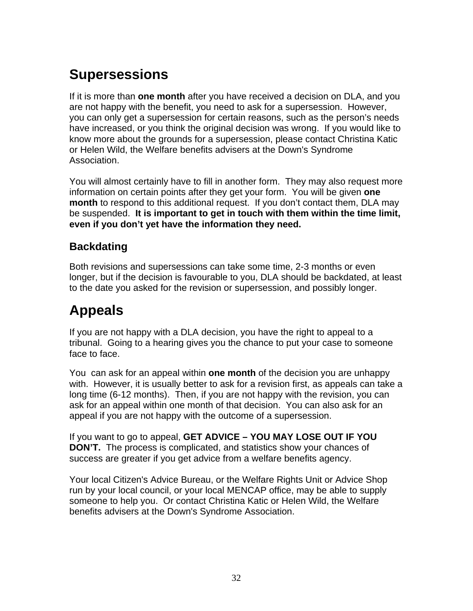# **Supersessions**

If it is more than **one month** after you have received a decision on DLA, and you are not happy with the benefit, you need to ask for a supersession. However, you can only get a supersession for certain reasons, such as the person's needs have increased, or you think the original decision was wrong. If you would like to know more about the grounds for a supersession, please contact Christina Katic or Helen Wild, the Welfare benefits advisers at the Down's Syndrome Association.

You will almost certainly have to fill in another form. They may also request more information on certain points after they get your form. You will be given **one month** to respond to this additional request. If you don't contact them, DLA may be suspended. **It is important to get in touch with them within the time limit, even if you don't yet have the information they need.** 

### **Backdating**

Both revisions and supersessions can take some time, 2-3 months or even longer, but if the decision is favourable to you, DLA should be backdated, at least to the date you asked for the revision or supersession, and possibly longer.

# **Appeals**

If you are not happy with a DLA decision, you have the right to appeal to a tribunal. Going to a hearing gives you the chance to put your case to someone face to face.

You can ask for an appeal within **one month** of the decision you are unhappy with. However, it is usually better to ask for a revision first, as appeals can take a long time (6-12 months). Then, if you are not happy with the revision, you can ask for an appeal within one month of that decision. You can also ask for an appeal if you are not happy with the outcome of a supersession.

If you want to go to appeal, **GET ADVICE – YOU MAY LOSE OUT IF YOU DON'T.** The process is complicated, and statistics show your chances of success are greater if you get advice from a welfare benefits agency.

Your local Citizen's Advice Bureau, or the Welfare Rights Unit or Advice Shop run by your local council, or your local MENCAP office, may be able to supply someone to help you. Or contact Christina Katic or Helen Wild, the Welfare benefits advisers at the Down's Syndrome Association.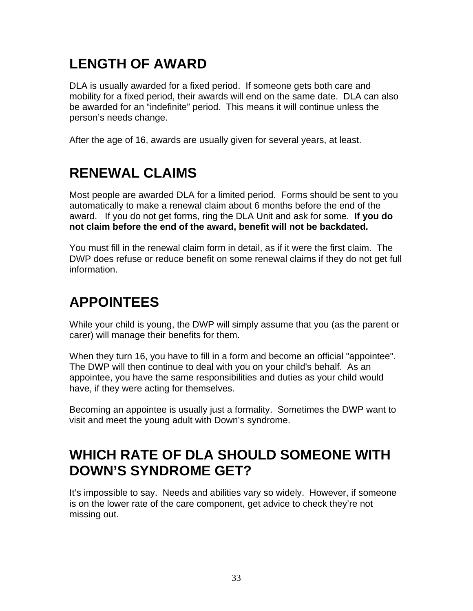# **LENGTH OF AWARD**

DLA is usually awarded for a fixed period. If someone gets both care and mobility for a fixed period, their awards will end on the same date. DLA can also be awarded for an "indefinite" period. This means it will continue unless the person's needs change.

After the age of 16, awards are usually given for several years, at least.

## **RENEWAL CLAIMS**

Most people are awarded DLA for a limited period. Forms should be sent to you automatically to make a renewal claim about 6 months before the end of the award. If you do not get forms, ring the DLA Unit and ask for some. **If you do not claim before the end of the award, benefit will not be backdated.** 

You must fill in the renewal claim form in detail, as if it were the first claim. The DWP does refuse or reduce benefit on some renewal claims if they do not get full information.

# **APPOINTEES**

While your child is young, the DWP will simply assume that you (as the parent or carer) will manage their benefits for them.

When they turn 16, you have to fill in a form and become an official "appointee". The DWP will then continue to deal with you on your child's behalf. As an appointee, you have the same responsibilities and duties as your child would have, if they were acting for themselves.

Becoming an appointee is usually just a formality. Sometimes the DWP want to visit and meet the young adult with Down's syndrome.

## **WHICH RATE OF DLA SHOULD SOMEONE WITH DOWN'S SYNDROME GET?**

It's impossible to say. Needs and abilities vary so widely. However, if someone is on the lower rate of the care component, get advice to check they're not missing out.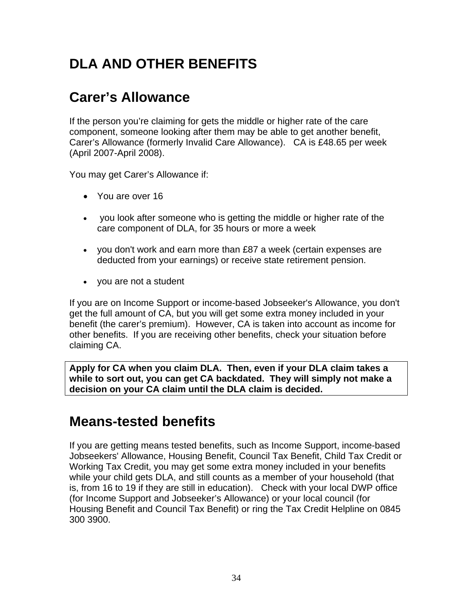# **DLA AND OTHER BENEFITS**

## **Carer's Allowance**

If the person you're claiming for gets the middle or higher rate of the care component, someone looking after them may be able to get another benefit, Carer's Allowance (formerly Invalid Care Allowance). CA is £48.65 per week (April 2007-April 2008).

You may get Carer's Allowance if:

- You are over 16
- you look after someone who is getting the middle or higher rate of the care component of DLA, for 35 hours or more a week
- you don't work and earn more than £87 a week (certain expenses are deducted from your earnings) or receive state retirement pension.
- you are not a student

If you are on Income Support or income-based Jobseeker's Allowance, you don't get the full amount of CA, but you will get some extra money included in your benefit (the carer's premium). However, CA is taken into account as income for other benefits. If you are receiving other benefits, check your situation before claiming CA.

**Apply for CA when you claim DLA. Then, even if your DLA claim takes a while to sort out, you can get CA backdated. They will simply not make a decision on your CA claim until the DLA claim is decided.** 

## **Means-tested benefits**

If you are getting means tested benefits, such as Income Support, income-based Jobseekers' Allowance, Housing Benefit, Council Tax Benefit, Child Tax Credit or Working Tax Credit, you may get some extra money included in your benefits while your child gets DLA, and still counts as a member of your household (that is, from 16 to 19 if they are still in education). Check with your local DWP office (for Income Support and Jobseeker's Allowance) or your local council (for Housing Benefit and Council Tax Benefit) or ring the Tax Credit Helpline on 0845 300 3900.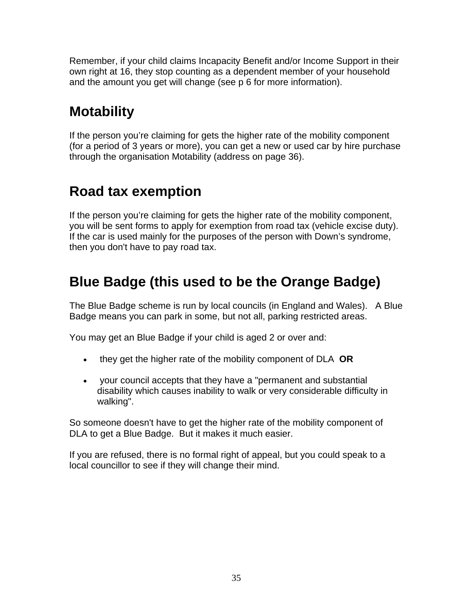Remember, if your child claims Incapacity Benefit and/or Income Support in their own right at 16, they stop counting as a dependent member of your household and the amount you get will change (see p 6 for more information).

# **Motability**

If the person you're claiming for gets the higher rate of the mobility component (for a period of 3 years or more), you can get a new or used car by hire purchase through the organisation Motability (address on page 36).

## **Road tax exemption**

If the person you're claiming for gets the higher rate of the mobility component, you will be sent forms to apply for exemption from road tax (vehicle excise duty). If the car is used mainly for the purposes of the person with Down's syndrome, then you don't have to pay road tax.

## **Blue Badge (this used to be the Orange Badge)**

The Blue Badge scheme is run by local councils (in England and Wales). A Blue Badge means you can park in some, but not all, parking restricted areas.

You may get an Blue Badge if your child is aged 2 or over and:

- they get the higher rate of the mobility component of DLA **OR**
- your council accepts that they have a "permanent and substantial disability which causes inability to walk or very considerable difficulty in walking".

So someone doesn't have to get the higher rate of the mobility component of DLA to get a Blue Badge. But it makes it much easier.

If you are refused, there is no formal right of appeal, but you could speak to a local councillor to see if they will change their mind.